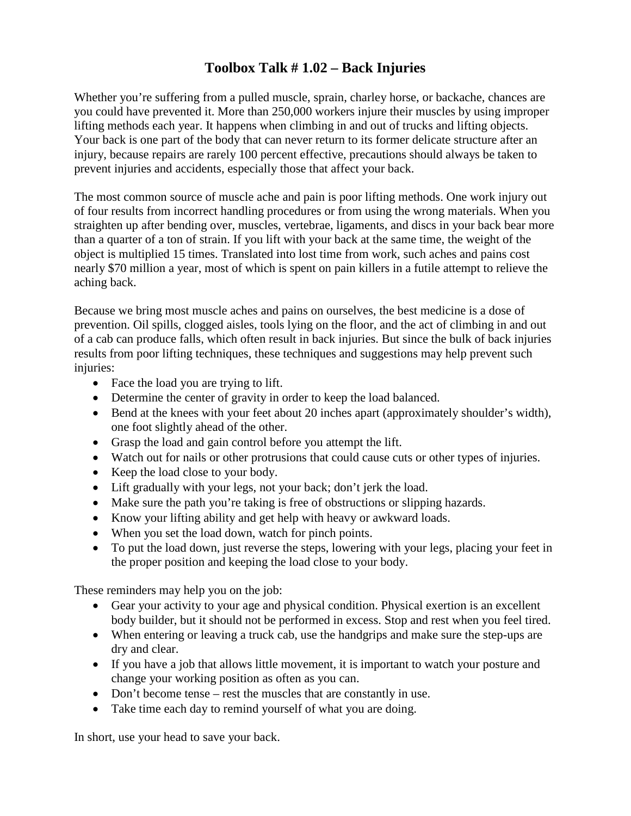## **Toolbox Talk # 1.02 – Back Injuries**

Whether you're suffering from a pulled muscle, sprain, charley horse, or backache, chances are you could have prevented it. More than 250,000 workers injure their muscles by using improper lifting methods each year. It happens when climbing in and out of trucks and lifting objects. Your back is one part of the body that can never return to its former delicate structure after an injury, because repairs are rarely 100 percent effective, precautions should always be taken to prevent injuries and accidents, especially those that affect your back.

The most common source of muscle ache and pain is poor lifting methods. One work injury out of four results from incorrect handling procedures or from using the wrong materials. When you straighten up after bending over, muscles, vertebrae, ligaments, and discs in your back bear more than a quarter of a ton of strain. If you lift with your back at the same time, the weight of the object is multiplied 15 times. Translated into lost time from work, such aches and pains cost nearly \$70 million a year, most of which is spent on pain killers in a futile attempt to relieve the aching back.

Because we bring most muscle aches and pains on ourselves, the best medicine is a dose of prevention. Oil spills, clogged aisles, tools lying on the floor, and the act of climbing in and out of a cab can produce falls, which often result in back injuries. But since the bulk of back injuries results from poor lifting techniques, these techniques and suggestions may help prevent such injuries:

- Face the load you are trying to lift.
- Determine the center of gravity in order to keep the load balanced.
- Bend at the knees with your feet about 20 inches apart (approximately shoulder's width), one foot slightly ahead of the other.
- Grasp the load and gain control before you attempt the lift.
- Watch out for nails or other protrusions that could cause cuts or other types of injuries.
- Keep the load close to your body.
- Lift gradually with your legs, not your back; don't jerk the load.
- Make sure the path you're taking is free of obstructions or slipping hazards.
- Know your lifting ability and get help with heavy or awkward loads.
- When you set the load down, watch for pinch points.
- To put the load down, just reverse the steps, lowering with your legs, placing your feet in the proper position and keeping the load close to your body.

These reminders may help you on the job:

- Gear your activity to your age and physical condition. Physical exertion is an excellent body builder, but it should not be performed in excess. Stop and rest when you feel tired.
- When entering or leaving a truck cab, use the handgrips and make sure the step-ups are dry and clear.
- If you have a job that allows little movement, it is important to watch your posture and change your working position as often as you can.
- Don't become tense rest the muscles that are constantly in use.
- Take time each day to remind yourself of what you are doing.

In short, use your head to save your back.